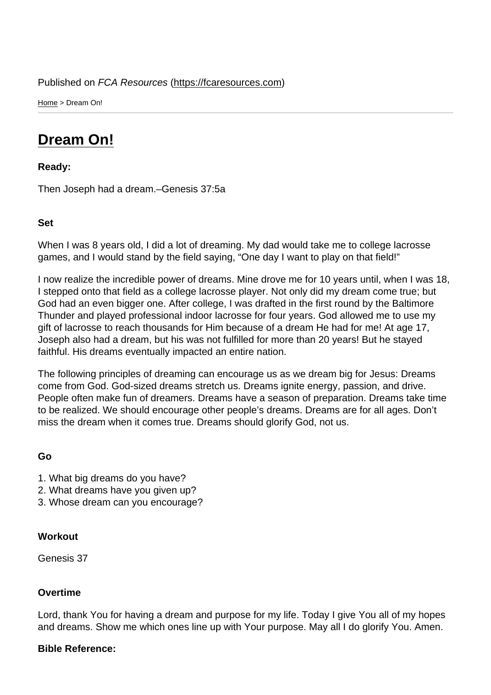Home > Dream On!

## [Dre](https://fcaresources.com/)am On!

Ready:

[Then Joseph had](https://fcaresources.com/devotional/dream) a dream.–Genesis 37:5a

Set

When I was 8 years old, I did a lot of dreaming. My dad would take me to college lacrosse games, and I would stand by the field saying, "One day I want to play on that field!"

I now realize the incredible power of dreams. Mine drove me for 10 years until, when I was 18, I stepped onto that field as a college lacrosse player. Not only did my dream come true; but God had an even bigger one. After college, I was drafted in the first round by the Baltimore Thunder and played professional indoor lacrosse for four years. God allowed me to use my gift of lacrosse to reach thousands for Him because of a dream He had for me! At age 17, Joseph also had a dream, but his was not fulfilled for more than 20 years! But he stayed faithful. His dreams eventually impacted an entire nation.

The following principles of dreaming can encourage us as we dream big for Jesus: Dreams come from God. God-sized dreams stretch us. Dreams ignite energy, passion, and drive. People often make fun of dreamers. Dreams have a season of preparation. Dreams take time to be realized. We should encourage other people's dreams. Dreams are for all ages. Don't miss the dream when it comes true. Dreams should glorify God, not us.

Go

- 1. What big dreams do you have?
- 2. What dreams have you given up?
- 3. Whose dream can you encourage?

**Workout** 

Genesis 37

**Overtime** 

Lord, thank You for having a dream and purpose for my life. Today I give You all of my hopes and dreams. Show me which ones line up with Your purpose. May all I do glorify You. Amen.

Bible Reference: